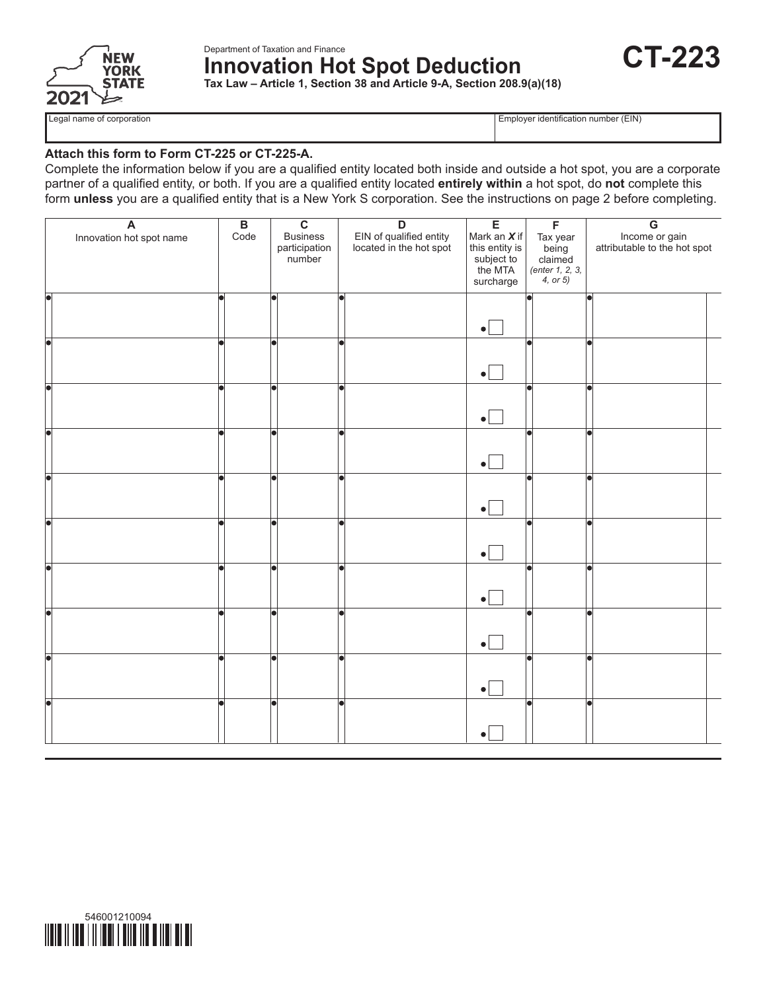

Department of Taxation and Finance **Innovation Hot Spot Deduction Tax Law – Article 1, Section 38 and Article 9-A, Section 208.9(a)(18)**



Legal name of corporation extensive to the corporation Employer identification number (EIN)

#### **Attach this form to Form CT-225 or CT-225-A.**

Complete the information below if you are a qualified entity located both inside and outside a hot spot, you are a corporate partner of a qualified entity, or both. If you are a qualified entity located **entirely within** a hot spot, do **not** complete this form **unless** you are a qualified entity that is a New York S corporation. See the instructions on page 2 before completing.

| $\overline{\mathbf{A}}$<br>Innovation hot spot name | $\overline{B}$<br>Code | $\overline{\mathbf{c}}$<br><b>Business</b><br>participation<br>number | $\overline{D}$<br>EIN of qualified entity<br>located in the hot spot | E<br>Mark an $X$ if<br>this entity is<br>subject to<br>the MTA<br>surcharge | $\overline{F}$<br>Tax year<br>being<br>claimed<br>$($ <i>enter</i> $1, 2, 3, 3)$<br>4, or $5)$ | $\overline{\mathsf{G}}$<br>Income or gain<br>attributable to the hot spot |
|-----------------------------------------------------|------------------------|-----------------------------------------------------------------------|----------------------------------------------------------------------|-----------------------------------------------------------------------------|------------------------------------------------------------------------------------------------|---------------------------------------------------------------------------|
|                                                     |                        |                                                                       |                                                                      | $\bullet$                                                                   |                                                                                                |                                                                           |
|                                                     |                        | le.                                                                   | a                                                                    | $\bullet$                                                                   |                                                                                                | a                                                                         |
|                                                     |                        |                                                                       |                                                                      | $\bullet$                                                                   |                                                                                                |                                                                           |
|                                                     |                        |                                                                       |                                                                      | $\bullet$                                                                   |                                                                                                |                                                                           |
| a                                                   |                        |                                                                       |                                                                      | $\bullet$                                                                   |                                                                                                |                                                                           |
|                                                     |                        |                                                                       |                                                                      | $\bullet$                                                                   |                                                                                                |                                                                           |
|                                                     |                        |                                                                       |                                                                      | $\bullet$                                                                   |                                                                                                | a                                                                         |
|                                                     | le                     | l۰                                                                    |                                                                      | $\bullet$                                                                   |                                                                                                | q                                                                         |
|                                                     |                        | Ы                                                                     |                                                                      | $\bullet$                                                                   |                                                                                                | l۰                                                                        |
|                                                     |                        |                                                                       |                                                                      | $\bullet$                                                                   |                                                                                                |                                                                           |